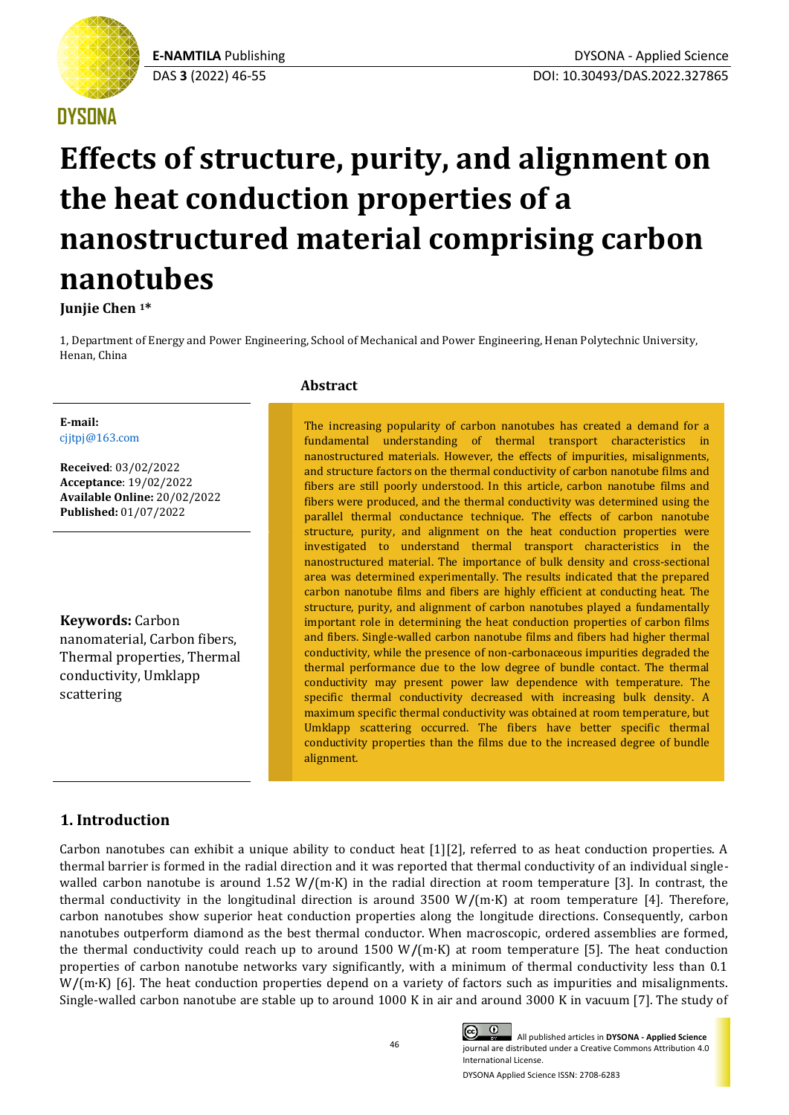# **DYSONA**

# **Effects of structure, purity, and alignment on the heat conduction properties of a nanostructured material comprising carbon nanotubes**

**Junjie Chen <sup>1</sup>\***

1, Department of Energy and Power Engineering, School of Mechanical and Power Engineering, Henan Polytechnic University, Henan, China

**E-mail:** [cjjtpj@163.com](mailto:cjjtpj@163.com)

**Received**: 03/02/2022 **Acceptance**: 19/02/2022 **Available Online:** 20/02/2022 **Published:** 01/07/2022

**Keywords:** Carbon nanomaterial, Carbon fibers, Thermal properties, Thermal conductivity, Umklapp scattering

## **Abstract**

The increasing popularity of carbon nanotubes has created a demand for a fundamental understanding of thermal transport characteristics in nanostructured materials. However, the effects of impurities, misalignments, and structure factors on the thermal conductivity of carbon nanotube films and fibers are still poorly understood. In this article, carbon nanotube films and fibers were produced, and the thermal conductivity was determined using the parallel thermal conductance technique. The effects of carbon nanotube structure, purity, and alignment on the heat conduction properties were investigated to understand thermal transport characteristics in the nanostructured material. The importance of bulk density and cross-sectional area was determined experimentally. The results indicated that the prepared carbon nanotube films and fibers are highly efficient at conducting heat. The structure, purity, and alignment of carbon nanotubes played a fundamentally important role in determining the heat conduction properties of carbon films and fibers. Single-walled carbon nanotube films and fibers had higher thermal conductivity, while the presence of non-carbonaceous impurities degraded the thermal performance due to the low degree of bundle contact. The thermal conductivity may present power law dependence with temperature. The specific thermal conductivity decreased with increasing bulk density. A maximum specific thermal conductivity was obtained at room temperature, but Umklapp scattering occurred. The fibers have better specific thermal conductivity properties than the films due to the increased degree of bundle alignment.

# **1. Introduction**

Carbon nanotubes can exhibit a unique ability to conduct heat [1][2], referred to as heat conduction properties. A thermal barrier is formed in the radial direction and it was reported that thermal conductivity of an individual singlewalled carbon nanotube is around 1.52 W/(m·K) in the radial direction at room temperature [3]. In contrast, the thermal conductivity in the longitudinal direction is around 3500 W**/**(m·K) at room temperature [4]. Therefore, carbon nanotubes show superior heat conduction properties along the longitude directions. Consequently, carbon nanotubes outperform diamond as the best thermal conductor. When macroscopic, ordered assemblies are formed, the thermal conductivity could reach up to around 1500 W**/**(m·K) at room temperature [5]. The heat conduction properties of carbon nanotube networks vary significantly, with a minimum of thermal conductivity less than 0.1 W/(m·K) [6]. The heat conduction properties depend on a variety of factors such as impurities and misalignments. Single-walled carbon nanotube are stable up to around 1000 K in air and around 3000 K in vacuum [7]. The study of

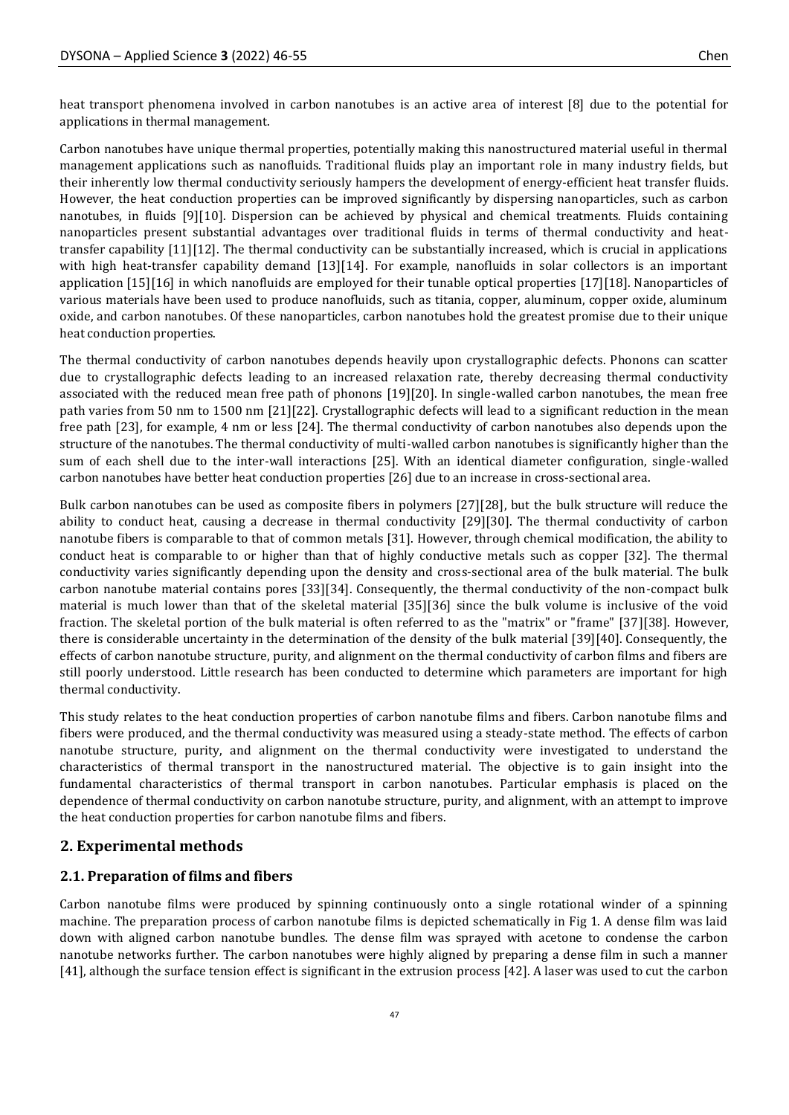heat transport phenomena involved in carbon nanotubes is an active area of interest [8] due to the potential for applications in thermal management.

Carbon nanotubes have unique thermal properties, potentially making this nanostructured material useful in thermal management applications such as nanofluids. Traditional fluids play an important role in many industry fields, but their inherently low thermal conductivity seriously hampers the development of energy-efficient heat transfer fluids. However, the heat conduction properties can be improved significantly by dispersing nanoparticles, such as carbon nanotubes, in fluids [9][10]. Dispersion can be achieved by physical and chemical treatments. Fluids containing nanoparticles present substantial advantages over traditional fluids in terms of thermal conductivity and heattransfer capability [11][12]. The thermal conductivity can be substantially increased, which is crucial in applications with high heat-transfer capability demand [13][14]. For example, nanofluids in solar collectors is an important application [15][16] in which nanofluids are employed for their tunable optical properties [17][18]. Nanoparticles of various materials have been used to produce nanofluids, such as titania, copper, aluminum, copper oxide, aluminum oxide, and carbon nanotubes. Of these nanoparticles, carbon nanotubes hold the greatest promise due to their unique heat conduction properties.

The thermal conductivity of carbon nanotubes depends heavily upon crystallographic defects. Phonons can scatter due to crystallographic defects leading to an increased relaxation rate, thereby decreasing thermal conductivity associated with the reduced mean free path of phonons [19][20]. In single-walled carbon nanotubes, the mean free path varies from 50 nm to 1500 nm [21][22]. Crystallographic defects will lead to a significant reduction in the mean free path [23], for example, 4 nm or less [24]. The thermal conductivity of carbon nanotubes also depends upon the structure of the nanotubes. The thermal conductivity of multi-walled carbon nanotubes is significantly higher than the sum of each shell due to the inter-wall interactions [25]. With an identical diameter configuration, single-walled carbon nanotubes have better heat conduction properties [26] due to an increase in cross-sectional area.

Bulk carbon nanotubes can be used as composite fibers in polymers [27][28], but the bulk structure will reduce the ability to conduct heat, causing a decrease in thermal conductivity [29][30]. The thermal conductivity of carbon nanotube fibers is comparable to that of common metals [31]. However, through chemical modification, the ability to conduct heat is comparable to or higher than that of highly conductive metals such as copper [32]. The thermal conductivity varies significantly depending upon the density and cross-sectional area of the bulk material. The bulk carbon nanotube material contains pores [33][34]. Consequently, the thermal conductivity of the non-compact bulk material is much lower than that of the skeletal material [35][36] since the bulk volume is inclusive of the void fraction. The skeletal portion of the bulk material is often referred to as the "matrix" or "frame" [37][38]. However, there is considerable uncertainty in the determination of the density of the bulk material [39][40]. Consequently, the effects of carbon nanotube structure, purity, and alignment on the thermal conductivity of carbon films and fibers are still poorly understood. Little research has been conducted to determine which parameters are important for high thermal conductivity.

This study relates to the heat conduction properties of carbon nanotube films and fibers. Carbon nanotube films and fibers were produced, and the thermal conductivity was measured using a steady-state method. The effects of carbon nanotube structure, purity, and alignment on the thermal conductivity were investigated to understand the characteristics of thermal transport in the nanostructured material. The objective is to gain insight into the fundamental characteristics of thermal transport in carbon nanotubes. Particular emphasis is placed on the dependence of thermal conductivity on carbon nanotube structure, purity, and alignment, with an attempt to improve the heat conduction properties for carbon nanotube films and fibers.

## **2. Experimental methods**

#### **2.1. Preparation of films and fibers**

Carbon nanotube films were produced by spinning continuously onto a single rotational winder of a spinning machine. The preparation process of carbon nanotube films is depicted schematically in Fig 1. A dense film was laid down with aligned carbon nanotube bundles. The dense film was sprayed with acetone to condense the carbon nanotube networks further. The carbon nanotubes were highly aligned by preparing a dense film in such a manner [41], although the surface tension effect is significant in the extrusion process [42]. A laser was used to cut the carbon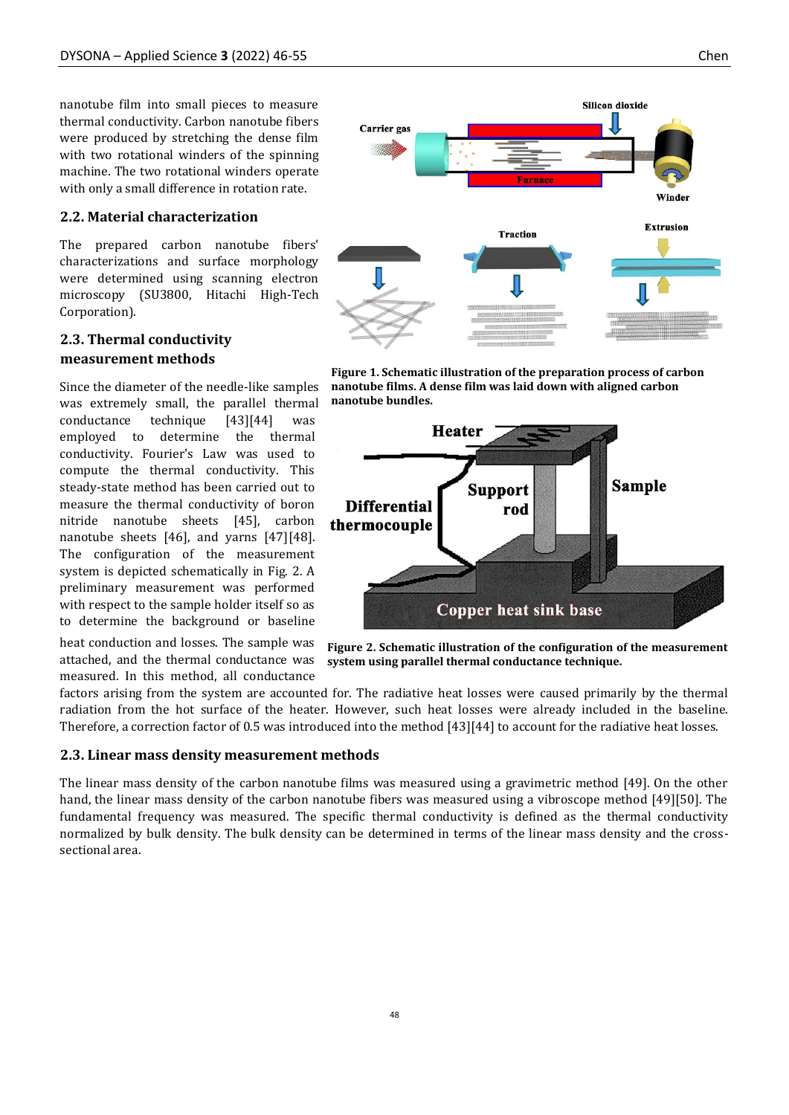#### **2.2. Material characterization**

The prepared carbon nanotube fibers' characterizations and surface morphology were determined using scanning electron microscopy (SU3800, Hitachi High-Tech Corporation).

# **2.3. Thermal conductivity measurement methods**

Since the diameter of the needle-like samples was extremely small, the parallel thermal conductance technique [43][44] was employed to determine the thermal conductivity. Fourier's Law was used to compute the thermal conductivity. This steady-state method has been carried out to measure the thermal conductivity of boron nitride nanotube sheets [45], carbon nanotube sheets [46], and yarns [47][48]. The configuration of the measurement system is depicted schematically in Fig. 2. A preliminary measurement was performed with respect to the sample holder itself so as to determine the background or baseline

heat conduction and losses. The sample was attached, and the thermal conductance was measured. In this method, all conductance



**Figure 1. Schematic illustration of the preparation process of carbon nanotube films. A dense film was laid down with aligned carbon nanotube bundles.**



**Figure 2. Schematic illustration of the configuration of the measurement system using parallel thermal conductance technique.**

factors arising from the system are accounted for. The radiative heat losses were caused primarily by the thermal radiation from the hot surface of the heater. However, such heat losses were already included in the baseline. Therefore, a correction factor of 0.5 was introduced into the method [43][44] to account for the radiative heat losses.

#### **2.3. Linear mass density measurement methods**

The linear mass density of the carbon nanotube films was measured using a gravimetric method [49]. On the other hand, the linear mass density of the carbon nanotube fibers was measured using a vibroscope method [49][50]. The fundamental frequency was measured. The specific thermal conductivity is defined as the thermal conductivity normalized by bulk density. The bulk density can be determined in terms of the linear mass density and the crosssectional area.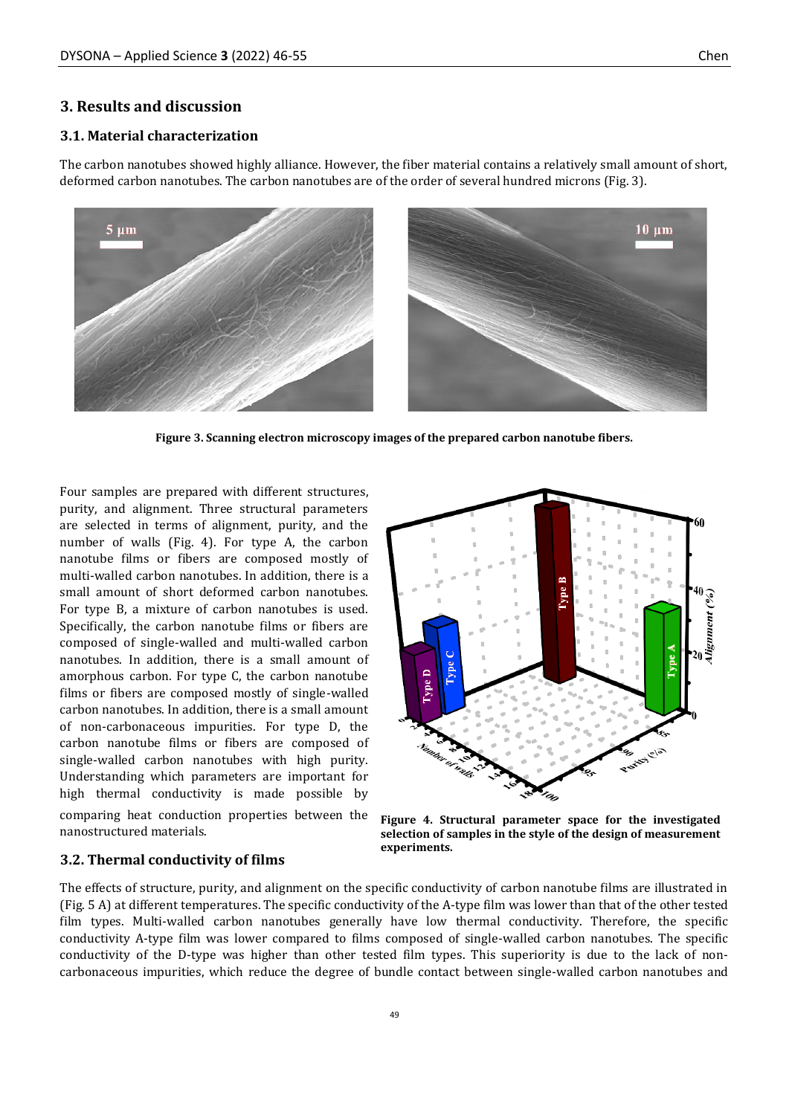#### **3. Results and discussion**

#### **3.1. Material characterization**

The carbon nanotubes showed highly alliance. However, the fiber material contains a relatively small amount of short, deformed carbon nanotubes. The carbon nanotubes are of the order of several hundred microns (Fig. 3).



**Figure 3. Scanning electron microscopy images of the prepared carbon nanotube fibers.**

Four samples are prepared with different structures, purity, and alignment. Three structural parameters are selected in terms of alignment, purity, and the number of walls (Fig. 4). For type A, the carbon nanotube films or fibers are composed mostly of multi-walled carbon nanotubes. In addition, there is a small amount of short deformed carbon nanotubes. For type B, a mixture of carbon nanotubes is used. Specifically, the carbon nanotube films or fibers are composed of single-walled and multi-walled carbon nanotubes. In addition, there is a small amount of amorphous carbon. For type C, the carbon nanotube films or fibers are composed mostly of single-walled carbon nanotubes. In addition, there is a small amount of non-carbonaceous impurities. For type D, the carbon nanotube films or fibers are composed of single-walled carbon nanotubes with high purity. Understanding which parameters are important for high thermal conductivity is made possible by comparing heat conduction properties between the nanostructured materials.



**Figure 4. Structural parameter space for the investigated selection of samples in the style of the design of measurement experiments.**

#### **3.2. Thermal conductivity of films**

The effects of structure, purity, and alignment on the specific conductivity of carbon nanotube films are illustrated in (Fig. 5 A) at different temperatures. The specific conductivity of the A-type film was lower than that of the other tested film types. Multi-walled carbon nanotubes generally have low thermal conductivity. Therefore, the specific conductivity A-type film was lower compared to films composed of single-walled carbon nanotubes. The specific conductivity of the D-type was higher than other tested film types. This superiority is due to the lack of noncarbonaceous impurities, which reduce the degree of bundle contact between single-walled carbon nanotubes and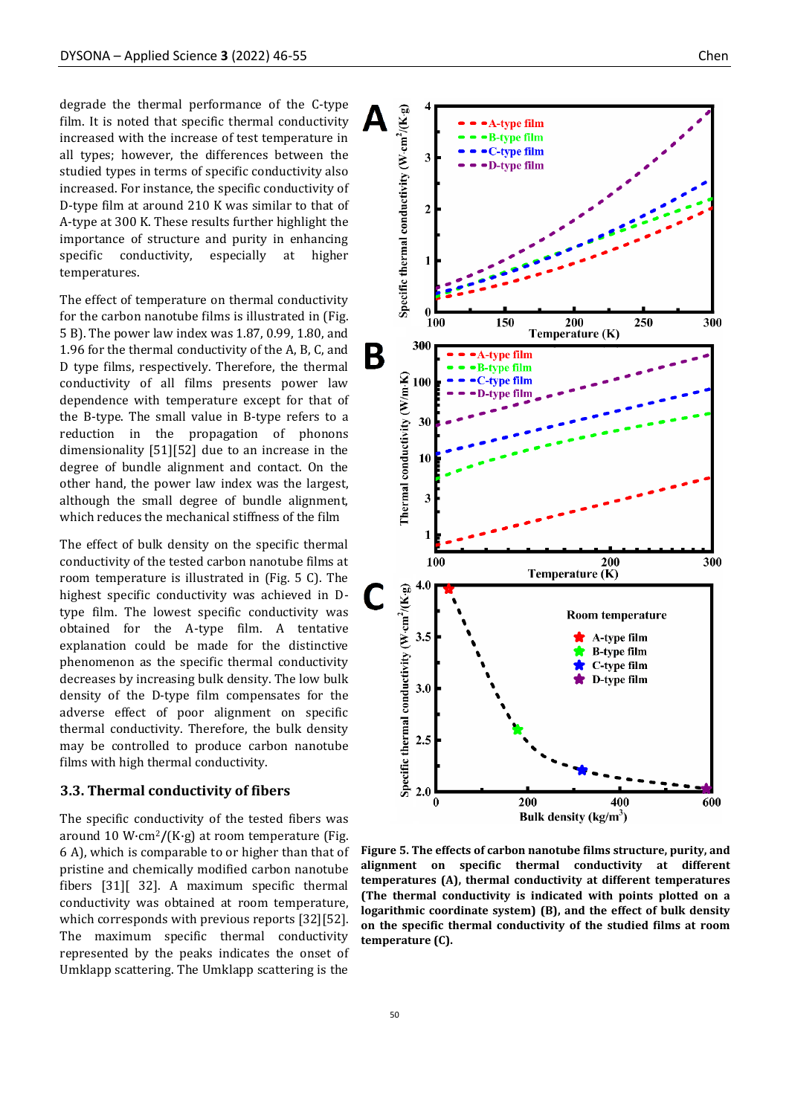degrade the thermal performance of the C-type film. It is noted that specific thermal conductivity increased with the increase of test temperature in all types; however, the differences between the studied types in terms of specific conductivity also increased. For instance, the specific conductivity of D-type film at around 210 K was similar to that of A-type at 300 K. These results further highlight the importance of structure and purity in enhancing specific conductivity, especially at higher temperatures.

The effect of temperature on thermal conductivity for the carbon nanotube films is illustrated in (Fig. 5 B). The power law index was 1.87, 0.99, 1.80, and 1.96 for the thermal conductivity of the A, B, C, and D type films, respectively. Therefore, the thermal conductivity of all films presents power law dependence with temperature except for that of the B-type. The small value in B-type refers to a reduction in the propagation of phonons dimensionality [51][52] due to an increase in the degree of bundle alignment and contact. On the other hand, the power law index was the largest, although the small degree of bundle alignment, which reduces the mechanical stiffness of the film

The effect of bulk density on the specific thermal conductivity of the tested carbon nanotube films at room temperature is illustrated in (Fig. 5 C). The highest specific conductivity was achieved in Dtype film. The lowest specific conductivity was obtained for the A-type film. A tentative explanation could be made for the distinctive phenomenon as the specific thermal conductivity decreases by increasing bulk density. The low bulk density of the D-type film compensates for the adverse effect of poor alignment on specific thermal conductivity. Therefore, the bulk density may be controlled to produce carbon nanotube films with high thermal conductivity.

#### **3.3. Thermal conductivity of fibers**

The specific conductivity of the tested fibers was around 10 W·cm2**/**(K·g) at room temperature (Fig. 6 A), which is comparable to or higher than that of pristine and chemically modified carbon nanotube fibers [31][ 32]. A maximum specific thermal conductivity was obtained at room temperature, which corresponds with previous reports [32][52]. The maximum specific thermal conductivity represented by the peaks indicates the onset of Umklapp scattering. The Umklapp scattering is the



**Figure 5. The effects of carbon nanotube films structure, purity, and alignment on specific thermal conductivity at different temperatures (A), thermal conductivity at different temperatures (The thermal conductivity is indicated with points plotted on a logarithmic coordinate system) (B), and the effect of bulk density on the specific thermal conductivity of the studied films at room temperature (C).**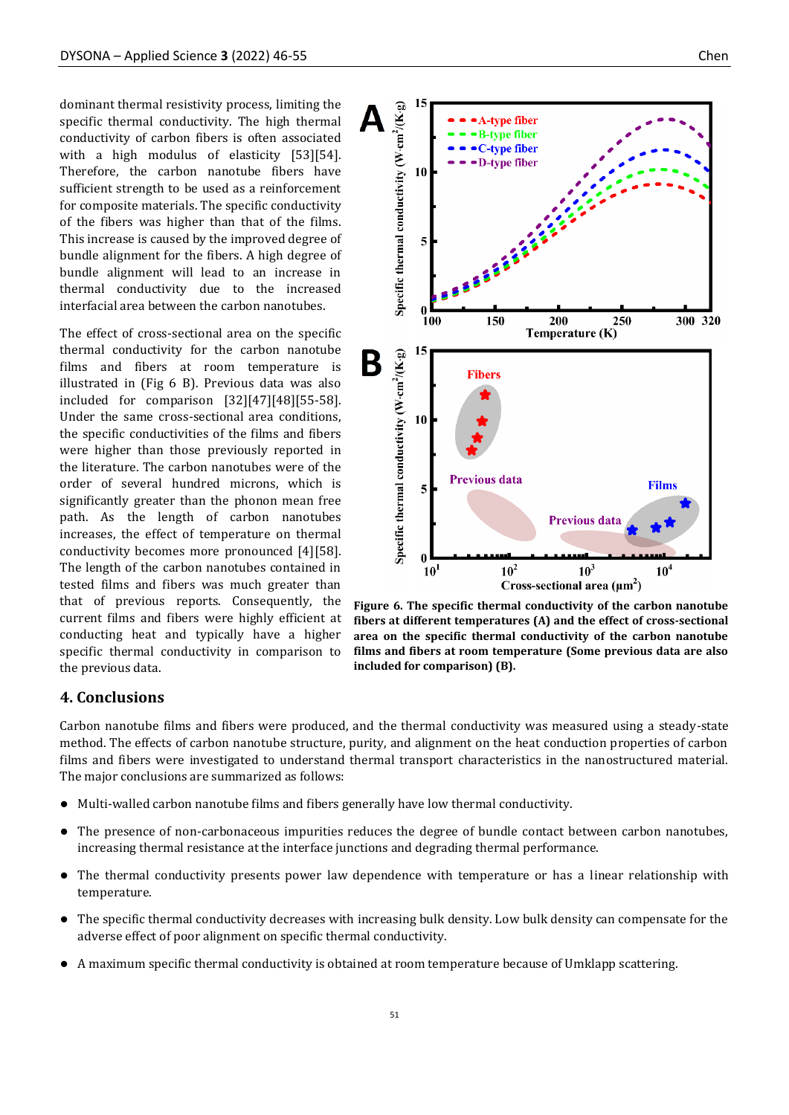dominant thermal resistivity process, limiting the specific thermal conductivity. The high thermal conductivity of carbon fibers is often associated with a high modulus of elasticity [53][54]. Therefore, the carbon nanotube fibers have sufficient strength to be used as a reinforcement for composite materials. The specific conductivity of the fibers was higher than that of the films. This increase is caused by the improved degree of bundle alignment for the fibers. A high degree of bundle alignment will lead to an increase in thermal conductivity due to the increased interfacial area between the carbon nanotubes.

The effect of cross-sectional area on the specific thermal conductivity for the carbon nanotube films and fibers at room temperature is illustrated in (Fig 6 B). Previous data was also included for comparison [32][47][48][55-58]. Under the same cross-sectional area conditions, the specific conductivities of the films and fibers were higher than those previously reported in the literature. The carbon nanotubes were of the order of several hundred microns, which is significantly greater than the phonon mean free path. As the length of carbon nanotubes increases, the effect of temperature on thermal conductivity becomes more pronounced [4][58]. The length of the carbon nanotubes contained in tested films and fibers was much greater than that of previous reports. Consequently, the current films and fibers were highly efficient at conducting heat and typically have a higher specific thermal conductivity in comparison to the previous data.



**Figure 6. The specific thermal conductivity of the carbon nanotube fibers at different temperatures (A) and the effect of cross-sectional area on the specific thermal conductivity of the carbon nanotube films and fibers at room temperature (Some previous data are also included for comparison) (B).**

#### **4. Conclusions**

Carbon nanotube films and fibers were produced, and the thermal conductivity was measured using a steady-state method. The effects of carbon nanotube structure, purity, and alignment on the heat conduction properties of carbon films and fibers were investigated to understand thermal transport characteristics in the nanostructured material. The major conclusions are summarized as follows:

- ⚫ Multi-walled carbon nanotube films and fibers generally have low thermal conductivity.
- ⚫ The presence of non-carbonaceous impurities reduces the degree of bundle contact between carbon nanotubes, increasing thermal resistance at the interface junctions and degrading thermal performance.
- ⚫ The thermal conductivity presents power law dependence with temperature or has a linear relationship with temperature.
- ⚫ The specific thermal conductivity decreases with increasing bulk density. Low bulk density can compensate for the adverse effect of poor alignment on specific thermal conductivity.
- ⚫ A maximum specific thermal conductivity is obtained at room temperature because of Umklapp scattering.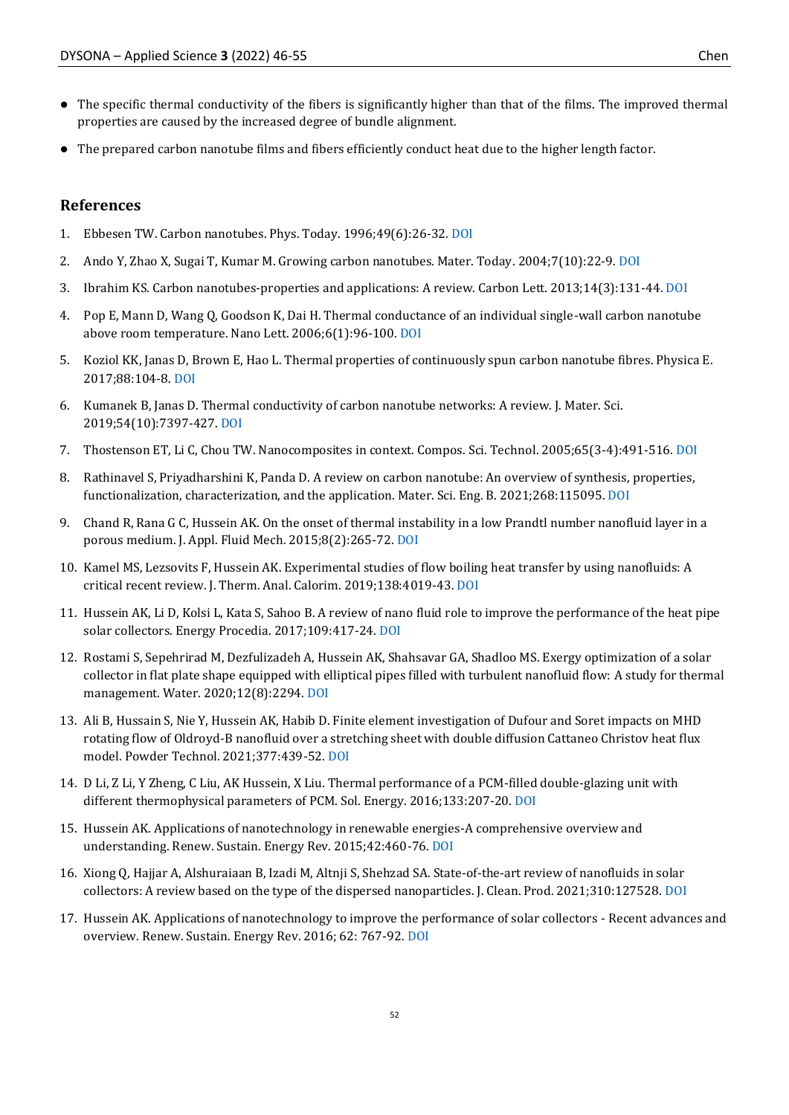- ⚫ The specific thermal conductivity of the fibers is significantly higher than that of the films. The improved thermal properties are caused by the increased degree of bundle alignment.
- ⚫ The prepared carbon nanotube films and fibers efficiently conduct heat due to the higher length factor.

#### **References**

- 1. Ebbesen TW. Carbon nanotubes. Phys. Today. 1996;49(6):26-32. [DOI](https://doi.org/10.1063/1.881603)
- 2. Ando Y, Zhao X, Sugai T, Kumar M. Growing carbon nanotubes. Mater. Today. 2004;7(10):22-9. [DOI](https://doi.org/10.1016/S1369-7021(04)00446-8)
- 3. Ibrahim KS. Carbon nanotubes-properties and applications: A review. Carbon Lett. 2013;14(3):131-44[. DOI](https://doi.org/10.5714/CL.2013.14.3.131)
- 4. Pop E, Mann D, Wang Q, Goodson K, Dai H. Thermal conductance of an individual single-wall carbon nanotube above room temperature. Nano Lett. 2006;6(1):96-100. [DOI](https://doi.org/10.1021/nl052145f)
- 5. Koziol KK, Janas D, Brown E, Hao L. Thermal properties of continuously spun carbon nanotube fibres. Physica E. 2017;88:104-8[. DOI](https://doi.org/10.1016/j.physe.2016.12.011)
- 6. Kumanek B, Janas D. Thermal conductivity of carbon nanotube networks: A review. J. Mater. Sci. 2019;54(10):7397-427. [DOI](https://doi.org/10.1007/s10853-019-03368-0)
- 7. Thostenson ET, Li C, Chou TW. Nanocomposites in context. Compos. Sci. Technol. 2005;65(3-4):491-516[. DOI](https://doi.org/10.1016/j.compscitech.2004.11.003)
- 8. Rathinavel S, Priyadharshini K, Panda D. A review on carbon nanotube: An overview of synthesis, properties, functionalization, characterization, and the application. Mater. Sci. Eng. B. 2021;268:115095. [DOI](https://doi.org/10.1016/j.mseb.2021.115095)
- 9. Chand R, Rana G C, Hussein AK. On the onset of thermal instability in a low Prandtl number nanofluid layer in a porous medium. J. Appl. Fluid Mech. 2015;8(2):265-72[. DOI](https://doi.org/10.18869/acadpub.jafm.67.221.22830)
- 10. Kamel MS, Lezsovits F, Hussein AK. Experimental studies of flow boiling heat transfer by using nanofluids: A critical recent review. J. Therm. Anal. Calorim. 2019;138:4019-43. [DOI](https://doi.org/10.1007/s10973-019-08333-2)
- 11. Hussein AK, Li D, Kolsi L, Kata S, Sahoo B. A review of nano fluid role to improve the performance of the heat pipe solar collectors. Energy Procedia. 2017;109:417-24[. DOI](https://doi.org/10.1016/j.egypro.2017.03.044)
- 12. Rostami S, Sepehrirad M, Dezfulizadeh A, Hussein AK, Shahsavar GA, Shadloo MS. Exergy optimization of a solar collector in flat plate shape equipped with elliptical pipes filled with turbulent nanofluid flow: A study for thermal management. Water. 2020;12(8):2294. [DOI](https://doi.org/10.3390/w12082294)
- 13. Ali B, Hussain S, Nie Y, Hussein AK, Habib D. Finite element investigation of Dufour and Soret impacts on MHD rotating flow of Oldroyd-B nanofluid over a stretching sheet with double diffusion Cattaneo Christov heat flux model. Powder Technol. 2021;377:439-52[. DOI](https://doi.org/10.1016/j.powtec.2020.09.008)
- 14. D Li, Z Li, Y Zheng, C Liu, AK Hussein, X Liu. Thermal performance of a PCM-filled double-glazing unit with different thermophysical parameters of PCM. Sol. Energy. 2016;133:207-20[. DOI](https://doi.org/10.1016/j.solener.2016.03.039)
- 15. Hussein AK. Applications of nanotechnology in renewable energies-A comprehensive overview and understanding. Renew. Sustain. Energy Rev. 2015;42:460-76[. DOI](https://doi.org/10.1016/j.rser.2014.10.027)
- 16. Xiong Q, Hajjar A, Alshuraiaan B, Izadi M, Altnji S, Shehzad SA. State-of-the-art review of nanofluids in solar collectors: A review based on the type of the dispersed nanoparticles. J. Clean. Prod. 2021;310:127528. [DOI](https://doi.org/10.1016/j.jclepro.2021.127528)
- 17. Hussein AK. Applications of nanotechnology to improve the performance of solar collectors Recent advances and overview. Renew. Sustain. Energy Rev. 2016; 62: 767-92[. DOI](https://doi.org/10.1016/j.rser.2016.04.050)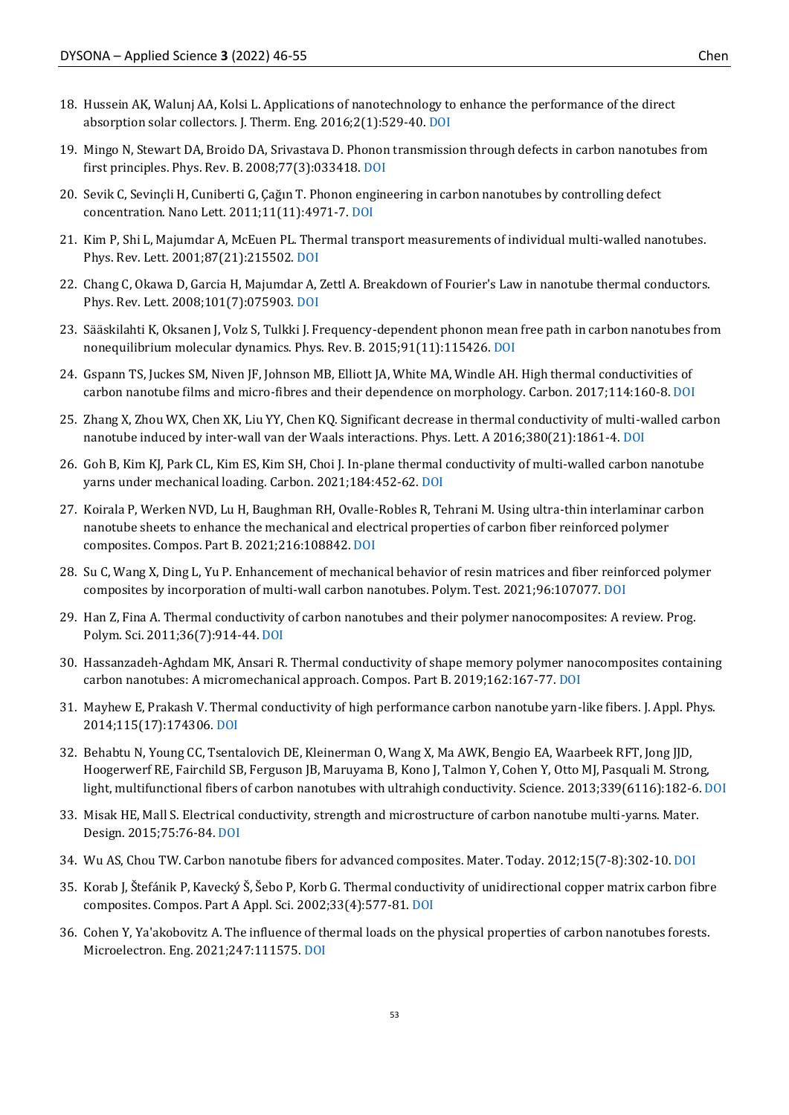- 18. Hussein AK, Walunj AA, Kolsi L. Applications of nanotechnology to enhance the performance of the direct absorption solar collectors. J. Therm. Eng. 2016;2(1):529-40. [DOI](https://doi.org/10.18186/jte.46009)
- 19. Mingo N, Stewart DA, Broido DA, Srivastava D. Phonon transmission through defects in carbon nanotubes from first principles. Phys. Rev. B. 2008;77(3):033418. [DOI](https://doi.org/10.1103/PhysRevB.77.033418)
- 20. Sevik C, Sevinçli H, Cuniberti G, Çağın T. Phonon engineering in carbon nanotubes by controlling defect concentration. Nano Lett. 2011;11(11):4971-7[. DOI](https://doi.org/10.1021/nl2029333)
- 21. Kim P, Shi L, Majumdar A, McEuen PL. Thermal transport measurements of individual multi-walled nanotubes. Phys. Rev. Lett. 2001;87(21):215502[. DOI](https://doi.org/10.1103/PhysRevLett.87.215502)
- 22. Chang C, Okawa D, Garcia H, Majumdar A, Zettl A. Breakdown of Fourier's Law in nanotube thermal conductors. Phys. Rev. Lett. 2008;101(7):075903[. DOI](https://doi.org/10.1103/PhysRevLett.101.075903)
- 23. Sääskilahti K, Oksanen J, Volz S, Tulkki J. Frequency-dependent phonon mean free path in carbon nanotubes from nonequilibrium molecular dynamics. Phys. Rev. B. 2015;91(11):115426. [DOI](https://doi.org/10.1103/PhysRevB.91.115426)
- 24. Gspann TS, Juckes SM, Niven JF, Johnson MB, Elliott JA, White MA, Windle AH. High thermal conductivities of carbon nanotube films and micro-fibres and their dependence on morphology. Carbon. 2017;114:160-8[. DOI](https://doi.org/10.1016/j.carbon.2016.12.006)
- 25. Zhang X, Zhou WX, Chen XK, Liu YY, Chen KQ. Significant decrease in thermal conductivity of multi-walled carbon nanotube induced by inter-wall van der Waals interactions. Phys. Lett. A 2016;380(21):1861-4[. DOI](https://doi.org/10.1016/j.physleta.2016.03.040)
- 26. Goh B, Kim KJ, Park CL, Kim ES, Kim SH, Choi J. In-plane thermal conductivity of multi-walled carbon nanotube yarns under mechanical loading. Carbon. 2021;184:452-62[. DOI](https://doi.org/10.1016/j.carbon.2021.08.047)
- 27. Koirala P, Werken NVD, Lu H, Baughman RH, Ovalle-Robles R, Tehrani M. Using ultra-thin interlaminar carbon nanotube sheets to enhance the mechanical and electrical properties of carbon fiber reinforced polymer composites. Compos. Part B. 2021;216:108842. [DOI](https://doi.org/10.1016/j.compositesb.2021.108842)
- 28. Su C, Wang X, Ding L, Yu P. Enhancement of mechanical behavior of resin matrices and fiber reinforced polymer composites by incorporation of multi-wall carbon nanotubes. Polym. Test. 2021;96:107077. [DOI](https://doi.org/10.1016/j.polymertesting.2021.107077)
- 29. Han Z, Fina A. Thermal conductivity of carbon nanotubes and their polymer nanocomposites: A review. Prog. Polym. Sci. 2011;36(7):914-44. [DOI](https://doi.org/10.1016/j.progpolymsci.2010.11.004)
- 30. Hassanzadeh-Aghdam MK, Ansari R. Thermal conductivity of shape memory polymer nanocomposites containing carbon nanotubes: A micromechanical approach. Compos. Part B. 2019;162:167-77. [DOI](https://doi.org/10.1016/j.compositesb.2018.11.003)
- 31. Mayhew E, Prakash V. Thermal conductivity of high performance carbon nanotube yarn-like fibers. J. Appl. Phys. 2014;115(17):174306[. DOI](https://doi.org/10.1063/1.4874737)
- 32. Behabtu N, Young CC, Tsentalovich DE, Kleinerman O, Wang X, Ma AWK, Bengio EA, Waarbeek RFT, Jong JJD, Hoogerwerf RE, Fairchild SB, Ferguson JB, Maruyama B, Kono J, Talmon Y, Cohen Y, Otto MJ, Pasquali M. Strong, light, multifunctional fibers of carbon nanotubes with ultrahigh conductivity. Science. 2013;339(6116):182-6. [DOI](https://doi.org/10.1126/science.1228061)
- 33. Misak HE, Mall S. Electrical conductivity, strength and microstructure of carbon nanotube multi-yarns. Mater. Design. 2015;75:76-84. [DOI](https://doi.org/10.1016/j.matdes.2015.03.020)
- 34. Wu AS, Chou TW. Carbon nanotube fibers for advanced composites. Mater. Today. 2012;15(7-8):302-10. [DOI](https://doi.org/10.1016/S1369-7021(12)70135-9)
- 35. Korab J, Štefánik P, Kavecký Š, Šebo P, Korb G. Thermal conductivity of unidirectional copper matrix carbon fibre composites. Compos. Part A Appl. Sci. 2002;33(4):577-81. [DOI](https://doi.org/10.1016/S1359-835X(02)00003-9)
- 36. Cohen Y, Ya'akobovitz A. The influence of thermal loads on the physical properties of carbon nanotubes forests. Microelectron. Eng. 2021;247:111575[. DOI](https://doi.org/10.1016/j.mee.2021.111575)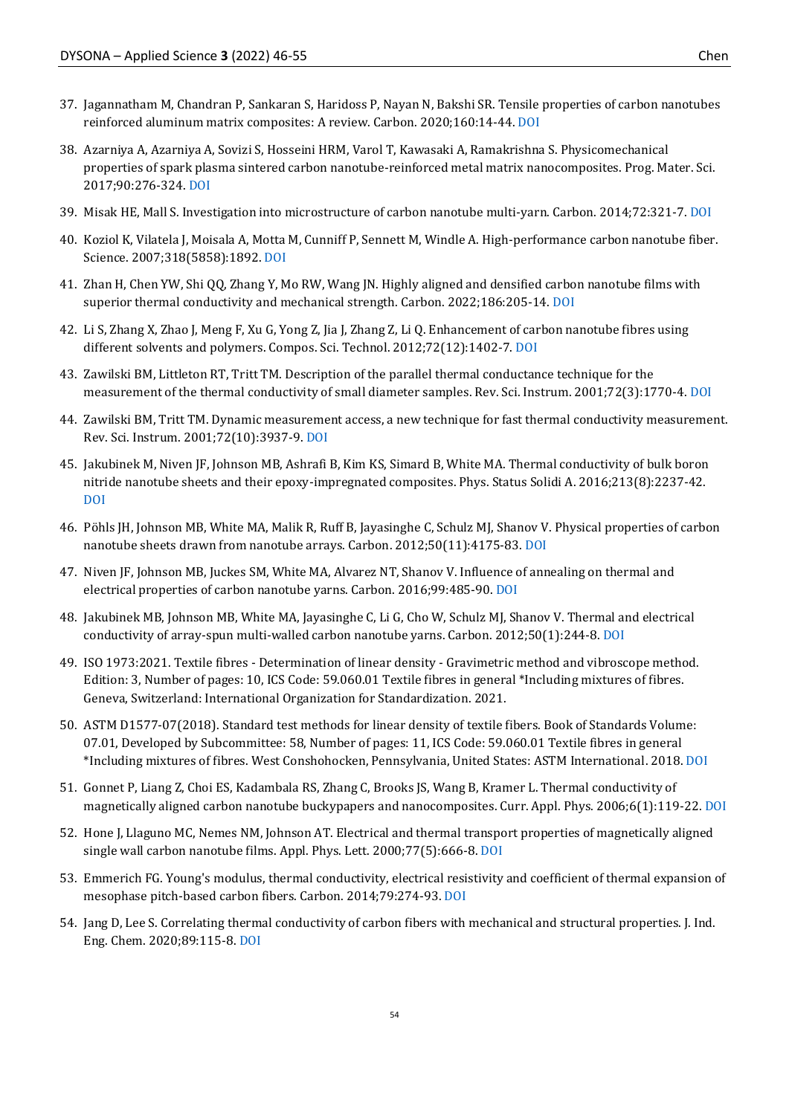- 37. Jagannatham M, Chandran P, Sankaran S, Haridoss P, Nayan N, Bakshi SR. Tensile properties of carbon nanotubes reinforced aluminum matrix composites: A review. Carbon. 2020;160:14-44. [DOI](https://doi.org/10.1016/j.carbon.2020.01.007)
- 38. Azarniya A, Azarniya A, Sovizi S, Hosseini HRM, Varol T, Kawasaki A, Ramakrishna S. Physicomechanical properties of spark plasma sintered carbon nanotube-reinforced metal matrix nanocomposites. Prog. Mater. Sci. 2017;90:276-324[. DOI](https://doi.org/10.1016/j.pmatsci.2017.07.007)
- 39. Misak HE, Mall S. Investigation into microstructure of carbon nanotube multi-yarn. Carbon. 2014;72:321-7. [DOI](https://doi.org/10.1016/j.carbon.2014.02.012)
- 40. Koziol K, Vilatela J, Moisala A, Motta M, Cunniff P, Sennett M, Windle A. High-performance carbon nanotube fiber. Science. 2007;318(5858):1892[. DOI](https://doi.org/10.1126/science.1147635)
- 41. Zhan H, Chen YW, Shi QQ, Zhang Y, Mo RW, Wang JN. Highly aligned and densified carbon nanotube films with superior thermal conductivity and mechanical strength. Carbon. 2022;186:205-14[. DOI](https://doi.org/10.1016/j.carbon.2021.09.069)
- 42. Li S, Zhang X, Zhao J, Meng F, Xu G, Yong Z, Jia J, Zhang Z, Li Q. Enhancement of carbon nanotube fibres using different solvents and polymers. Compos. Sci. Technol. 2012;72(12):1402-7[. DOI](https://doi.org/10.1016/j.compscitech.2012.05.013)
- 43. Zawilski BM, Littleton RT, Tritt TM. Description of the parallel thermal conductance technique for the measurement of the thermal conductivity of small diameter samples. Rev. Sci. Instrum. 2001;72(3):1770-4. [DOI](https://doi.org/10.1063/1.1347980)
- 44. Zawilski BM, Tritt TM. Dynamic measurement access, a new technique for fast thermal conductivity measurement. Rev. Sci. Instrum. 2001;72(10):3937-9[. DOI](https://doi.org/10.1063/1.1400148)
- 45. Jakubinek M, Niven JF, Johnson MB, Ashrafi B, Kim KS, Simard B, White MA. Thermal conductivity of bulk boron nitride nanotube sheets and their epoxy-impregnated composites. Phys. Status Solidi A. 2016;213(8):2237-42. [DOI](https://doi.org/10.1002/pssa.201533010)
- 46. Pöhls JH, Johnson MB, White MA, Malik R, Ruff B, Jayasinghe C, Schulz MJ, Shanov V. Physical properties of carbon nanotube sheets drawn from nanotube arrays. Carbon. 2012;50(11):4175-83[. DOI](https://doi.org/10.1016/j.carbon.2012.04.067)
- 47. Niven JF, Johnson MB, Juckes SM, White MA, Alvarez NT, Shanov V. Influence of annealing on thermal and electrical properties of carbon nanotube yarns. Carbon. 2016;99:485-90[. DOI](https://doi.org/10.1016/j.carbon.2015.12.014)
- 48. Jakubinek MB, Johnson MB, White MA, Jayasinghe C, Li G, Cho W, Schulz MJ, Shanov V. Thermal and electrical conductivity of array-spun multi-walled carbon nanotube yarns. Carbon. 2012;50(1):244-8[. DOI](https://doi.org/10.1016/j.carbon.2011.08.041)
- 49. ISO 1973:2021. Textile fibres Determination of linear density Gravimetric method and vibroscope method. Edition: 3, Number of pages: 10, ICS Code: 59.060.01 Textile fibres in general \*Including mixtures of fibres. Geneva, Switzerland: International Organization for Standardization. 2021.
- 50. ASTM D1577-07(2018). Standard test methods for linear density of textile fibers. Book of Standards Volume: 07.01, Developed by Subcommittee: 58, Number of pages: 11, ICS Code: 59.060.01 Textile fibres in general \*Including mixtures of fibres. West Conshohocken, Pennsylvania, United States: ASTM International. 2018. [DOI](https://doi.org/10.1520/D1577-07R18)
- 51. Gonnet P, Liang Z, Choi ES, Kadambala RS, Zhang C, Brooks JS, Wang B, Kramer L. Thermal conductivity of magnetically aligned carbon nanotube buckypapers and nanocomposites. Curr. Appl. Phys. 2006;6(1):119-22[. DOI](https://doi.org/10.1016/j.cap.2005.01.053)
- 52. Hone J, Llaguno MC, Nemes NM, Johnson AT. Electrical and thermal transport properties of magnetically aligned single wall carbon nanotube films. Appl. Phys. Lett. 2000;77(5):666-8. [DOI](https://doi.org/10.1063/1.127079)
- 53. Emmerich FG. Young's modulus, thermal conductivity, electrical resistivity and coefficient of thermal expansion of mesophase pitch-based carbon fibers. Carbon. 2014;79:274-93[. DOI](https://doi.org/10.1016/j.carbon.2014.07.068)
- 54. Jang D, Lee S. Correlating thermal conductivity of carbon fibers with mechanical and structural properties. J. Ind. Eng. Chem. 2020;89:115-8[. DOI](https://doi.org/10.1016/j.jiec.2020.06.026)